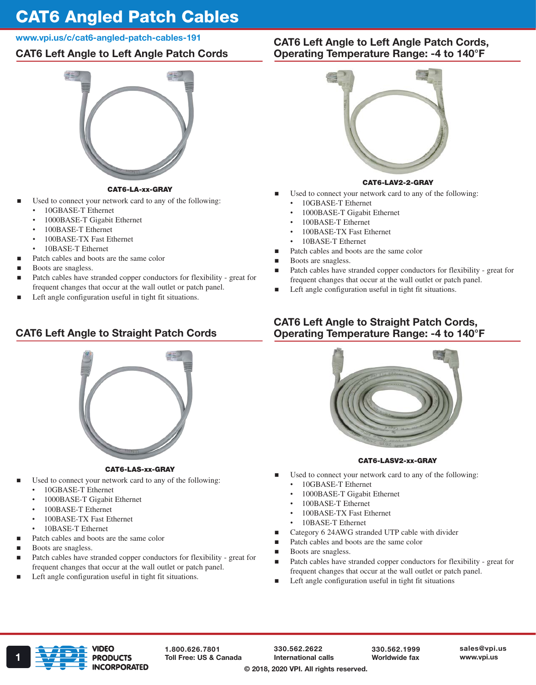# CAT6 Angled Patch Cables

### www.vpi.us/c/cat6-angled-patch-cables-191

# CAT6 Left Angle to Left Angle Patch Cords



#### CAT6-LA-xx-GRAY

- Used to connect your network card to any of the following:
	- 10GBASE-T Ethernet
	- 1000BASE-T Gigabit Ethernet
	- 100BASE-T Ethernet
	- 100BASE-TX Fast Ethernet
	- 10BASE-T Ethernet
- Patch cables and boots are the same color
- Boots are snagless.
- Patch cables have stranded copper conductors for flexibility great for frequent changes that occur at the wall outlet or patch panel.
- Left angle configuration useful in tight fit situations.

# CAT6 Left Angle to Straight Patch Cords



#### CAT6-LAS-xx-GRAY

- Used to connect your network card to any of the following:
	- 10GBASE-T Ethernet
	- 1000BASE-T Gigabit Ethernet
	- 100BASE-T Ethernet
	- 100BASE-TX Fast Ethernet
	- 10BASE-T Ethernet
	- Patch cables and boots are the same color
- Boots are snagless.
- Patch cables have stranded copper conductors for flexibility great for frequent changes that occur at the wall outlet or patch panel.
- Left angle configuration useful in tight fit situations.

## CAT6 Left Angle to Left Angle Patch Cords, Operating Temperature Range: -4 to 140°F



#### CAT6-LAV2-2-GRAY

- Used to connect your network card to any of the following:
	- 10GBASE-T Ethernet
		- 1000BASE-T Gigabit Ethernet
		- 100BASE-T Ethernet
	- 100BASE-TX Fast Ethernet
	- 10BASE-T Ethernet
- Patch cables and boots are the same color
- Boots are snagless.
- Patch cables have stranded copper conductors for flexibility great for frequent changes that occur at the wall outlet or patch panel.
- Left angle configuration useful in tight fit situations.

## CAT6 Left Angle to Straight Patch Cords, Operating Temperature Range: -4 to 140°F



#### CAT6-LASV2-xx-GRAY

- Used to connect your network card to any of the following:
	- 10GBASE-T Ethernet
	- 1000BASE-T Gigabit Ethernet
	- 100BASE-T Ethernet
	- 100BASE-TX Fast Ethernet
	- 10BASE-T Ethernet
- Category 6 24AWG stranded UTP cable with divider
- Patch cables and boots are the same color
- Boots are snagless.
- Patch cables have stranded copper conductors for flexibility great for frequent changes that occur at the wall outlet or patch panel.
- Left angle configuration useful in tight fit situations



1.800.626.7801

330.562.2622 International calls

330.562.1999 Worldwide fax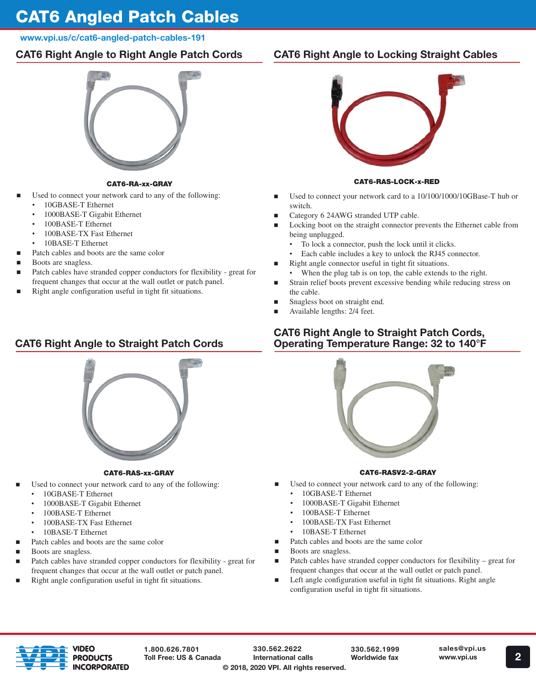# CAT6 Angled Patch Cables

## www.vpi.us/c/cat6-angled-patch-cables-191

# CAT6 Right Angle to Right Angle Patch Cords



### CAT6-RA-xx-GRAY

- Used to connect your network card to any of the following:
	- 10GBASE-T Ethernet
	- 1000BASE-T Gigabit Ethernet
	- 100BASE-T Ethernet
	- 100BASE-TX Fast Ethernet
	- 10BASE-T Ethernet
	- Patch cables and boots are the same color
- Boots are snagless.
- Patch cables have stranded copper conductors for flexibility great for frequent changes that occur at the wall outlet or patch panel.
- Right angle configuration useful in tight fit situations.

# CAT6 Right Angle to Straight Patch Cords



## CAT6-RAS-xx-GRAY

- Used to connect your network card to any of the following:
	- 10GBASE-T Ethernet
	- 1000BASE-T Gigabit Ethernet
	- 100BASE-T Ethernet
	- 100BASE-TX Fast Ethernet
	- 10BASE-T Ethernet
- Patch cables and boots are the same color
- Boots are snagless.
- Patch cables have stranded copper conductors for flexibility great for frequent changes that occur at the wall outlet or patch panel.
- Right angle configuration useful in tight fit situations.

# CAT6 Right Angle to Locking Straight Cables



### CAT6-RAS-LOCK-x-RED

- Used to connect your network card to a 10/100/1000/10GBase-T hub or switch.
- Category 6 24AWG stranded UTP cable.
- Locking boot on the straight connector prevents the Ethernet cable from being unplugged.
	- To lock a connector, push the lock until it clicks.
	- Each cable includes a key to unlock the RJ45 connector.
- Right angle connector useful in tight fit situations.
	- When the plug tab is on top, the cable extends to the right.
- Strain relief boots prevent excessive bending while reducing stress on the cable.
- Snagless boot on straight end.
- Available lengths: 2/4 feet.

# CAT6 Right Angle to Straight Patch Cords, Operating Temperature Range: 32 to 140°F



### CAT6-RASV2-2-GRAY

- Used to connect your network card to any of the following:
	- 10GBASE-T Ethernet
	- 1000BASE-T Gigabit Ethernet
	- 100BASE-T Ethernet
	- 100BASE-TX Fast Ethernet
	- 10BASE-T Ethernet
- Patch cables and boots are the same color
- Boots are snagless.
- Patch cables have stranded copper conductors for flexibility great for frequent changes that occur at the wall outlet or patch panel.
- **Example 2** Left angle configuration useful in tight fit situations. Right angle configuration useful in tight fit situations.



1.800.626.7801 Toll Free: US & Canada

330.562.2622 International calls © 2018, 2020 VPI. All rights reserved.

330.562.1999 Worldwide fax